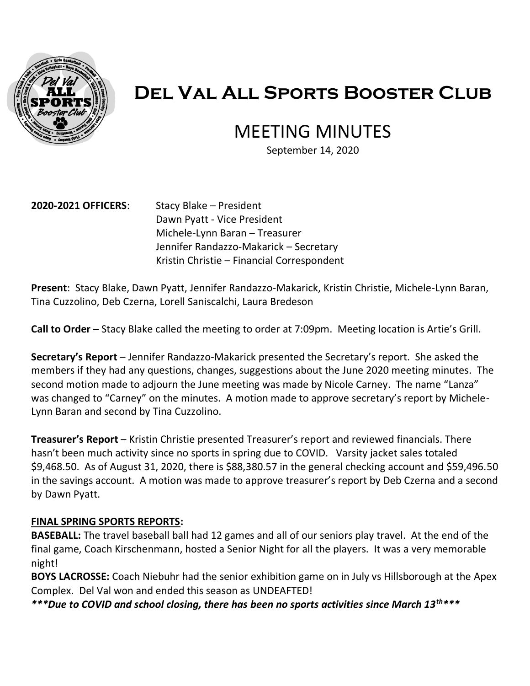

# **Del Val All Sports Booster Club**

# MEETING MINUTES

September 14, 2020

#### **2020-2021 OFFICERS**: Stacy Blake – President

Dawn Pyatt - Vice President Michele-Lynn Baran – Treasurer Jennifer Randazzo-Makarick – Secretary Kristin Christie – Financial Correspondent

**Present**: Stacy Blake, Dawn Pyatt, Jennifer Randazzo-Makarick, Kristin Christie, Michele-Lynn Baran, Tina Cuzzolino, Deb Czerna, Lorell Saniscalchi, Laura Bredeson

**Call to Order** – Stacy Blake called the meeting to order at 7:09pm. Meeting location is Artie's Grill.

**Secretary's Report** – Jennifer Randazzo-Makarick presented the Secretary's report. She asked the members if they had any questions, changes, suggestions about the June 2020 meeting minutes. The second motion made to adjourn the June meeting was made by Nicole Carney. The name "Lanza" was changed to "Carney" on the minutes. A motion made to approve secretary's report by Michele-Lynn Baran and second by Tina Cuzzolino.

**Treasurer's Report** – Kristin Christie presented Treasurer's report and reviewed financials. There hasn't been much activity since no sports in spring due to COVID. Varsity jacket sales totaled \$9,468.50. As of August 31, 2020, there is \$88,380.57 in the general checking account and \$59,496.50 in the savings account. A motion was made to approve treasurer's report by Deb Czerna and a second by Dawn Pyatt.

#### **FINAL SPRING SPORTS REPORTS:**

**BASEBALL:** The travel baseball ball had 12 games and all of our seniors play travel. At the end of the final game, Coach Kirschenmann, hosted a Senior Night for all the players. It was a very memorable night!

**BOYS LACROSSE:** Coach Niebuhr had the senior exhibition game on in July vs Hillsborough at the Apex Complex. Del Val won and ended this season as UNDEAFTED!

*\*\*\*Due to COVID and school closing, there has been no sports activities since March 13th\*\*\**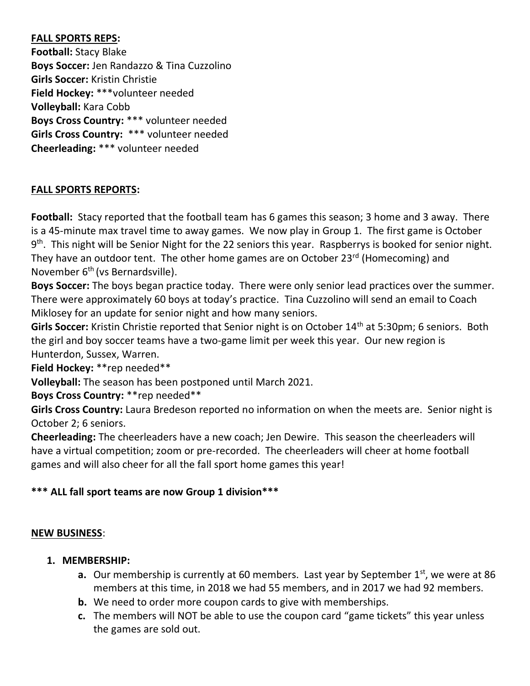# **FALL SPORTS REPS:**

**Football:** Stacy Blake **Boys Soccer:** Jen Randazzo & Tina Cuzzolino **Girls Soccer:** Kristin Christie **Field Hockey:** \*\*\*volunteer needed **Volleyball:** Kara Cobb **Boys Cross Country:** \*\*\* volunteer needed **Girls Cross Country:** \*\*\* volunteer needed **Cheerleading:** \*\*\* volunteer needed

# **FALL SPORTS REPORTS:**

**Football:** Stacy reported that the football team has 6 games this season; 3 home and 3 away. There is a 45-minute max travel time to away games. We now play in Group 1. The first game is October 9<sup>th</sup>. This night will be Senior Night for the 22 seniors this year. Raspberrys is booked for senior night. They have an outdoor tent. The other home games are on October 23<sup>rd</sup> (Homecoming) and November 6<sup>th</sup> (vs Bernardsville).

**Boys Soccer:** The boys began practice today. There were only senior lead practices over the summer. There were approximately 60 boys at today's practice. Tina Cuzzolino will send an email to Coach Miklosey for an update for senior night and how many seniors.

Girls Soccer: Kristin Christie reported that Senior night is on October 14<sup>th</sup> at 5:30pm; 6 seniors. Both the girl and boy soccer teams have a two-game limit per week this year. Our new region is Hunterdon, Sussex, Warren.

**Field Hockey:** \*\*rep needed\*\*

**Volleyball:** The season has been postponed until March 2021.

**Boys Cross Country:** \*\*rep needed\*\*

**Girls Cross Country:** Laura Bredeson reported no information on when the meets are. Senior night is October 2; 6 seniors.

**Cheerleading:** The cheerleaders have a new coach; Jen Dewire.This season the cheerleaders will have a virtual competition; zoom or pre-recorded. The cheerleaders will cheer at home football games and will also cheer for all the fall sport home games this year!

# **\*\*\* ALL fall sport teams are now Group 1 division\*\*\***

#### **NEW BUSINESS**:

- **1. MEMBERSHIP:** 
	- **a.** Our membership is currently at 60 members. Last year by September 1<sup>st</sup>, we were at 86 members at this time, in 2018 we had 55 members, and in 2017 we had 92 members.
	- **b.** We need to order more coupon cards to give with memberships.
	- **c.** The members will NOT be able to use the coupon card "game tickets" this year unless the games are sold out.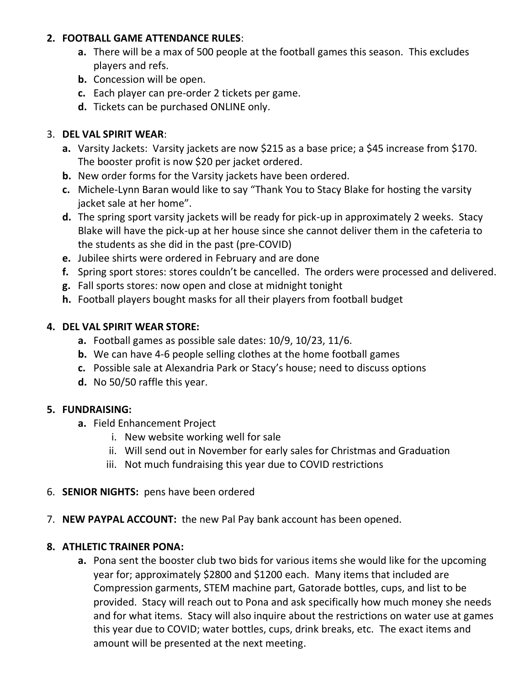## **2. FOOTBALL GAME ATTENDANCE RULES**:

- **a.** There will be a max of 500 people at the football games this season. This excludes players and refs.
- **b.** Concession will be open.
- **c.** Each player can pre-order 2 tickets per game.
- **d.** Tickets can be purchased ONLINE only.

# 3. **DEL VAL SPIRIT WEAR**:

- **a.** Varsity Jackets: Varsity jackets are now \$215 as a base price; a \$45 increase from \$170. The booster profit is now \$20 per jacket ordered.
- **b.** New order forms for the Varsity jackets have been ordered.
- **c.** Michele-Lynn Baran would like to say "Thank You to Stacy Blake for hosting the varsity jacket sale at her home".
- **d.** The spring sport varsity jackets will be ready for pick-up in approximately 2 weeks. Stacy Blake will have the pick-up at her house since she cannot deliver them in the cafeteria to the students as she did in the past (pre-COVID)
- **e.** Jubilee shirts were ordered in February and are done
- **f.** Spring sport stores: stores couldn't be cancelled. The orders were processed and delivered.
- **g.** Fall sports stores: now open and close at midnight tonight
- **h.** Football players bought masks for all their players from football budget

# **4. DEL VAL SPIRIT WEAR STORE:**

- **a.** Football games as possible sale dates: 10/9, 10/23, 11/6.
- **b.** We can have 4-6 people selling clothes at the home football games
- **c.** Possible sale at Alexandria Park or Stacy's house; need to discuss options
- **d.** No 50/50 raffle this year.

# **5. FUNDRAISING:**

- **a.** Field Enhancement Project
	- i. New website working well for sale
	- ii. Will send out in November for early sales for Christmas and Graduation
	- iii. Not much fundraising this year due to COVID restrictions
- 6. **SENIOR NIGHTS:** pens have been ordered
- 7. **NEW PAYPAL ACCOUNT:** the new Pal Pay bank account has been opened.

# **8. ATHLETIC TRAINER PONA:**

**a.** Pona sent the booster club two bids for various items she would like for the upcoming year for; approximately \$2800 and \$1200 each. Many items that included are Compression garments, STEM machine part, Gatorade bottles, cups, and list to be provided. Stacy will reach out to Pona and ask specifically how much money she needs and for what items. Stacy will also inquire about the restrictions on water use at games this year due to COVID; water bottles, cups, drink breaks, etc. The exact items and amount will be presented at the next meeting.